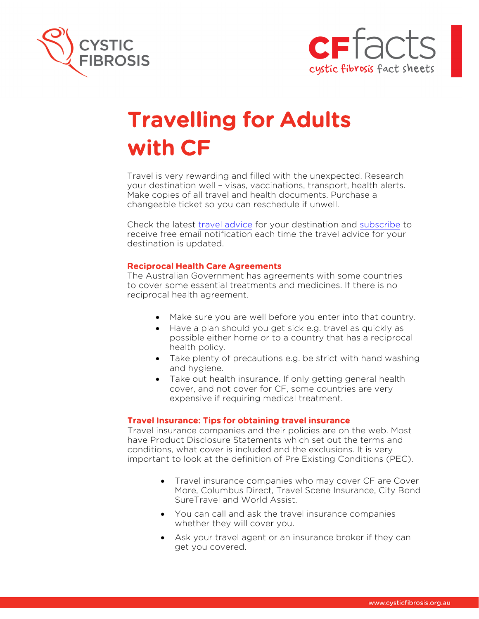



# Travelling for Adults with CF

Travel is very rewarding and filled with the unexpected. Research your destination well – visas, vaccinations, transport, health alerts. Make copies of all travel and health documents. Purchase a changeable ticket so you can reschedule if unwell.

Check the latest travel [advice](http://smartraveller.gov.au/countries/Pages/default.aspx) for your destination and [subscribe](https://orao.dfat.gov.au/pages/userlogin.aspx?ReturnUrl=%2fpages%2fsecured%2fdefault.aspx) to receive free email notification each time the travel advice for your destination is updated.

# Reciprocal Health Care Agreements

The Australian Government has agreements with some countries to cover some essential treatments and medicines. If there is no reciprocal health agreement.

- Make sure you are well before you enter into that country.
- Have a plan should you get sick e.g. travel as quickly as possible either home or to a country that has a reciprocal health policy.
- Take plenty of precautions e.g. be strict with hand washing and hygiene.
- Take out health insurance. If only getting general health cover, and not cover for CF, some countries are very expensive if requiring medical treatment.

#### Travel Insurance: Tips for obtaining travel insurance

Travel insurance companies and their policies are on the web. Most have Product Disclosure Statements which set out the terms and conditions, what cover is included and the exclusions. It is very important to look at the definition of Pre Existing Conditions (PEC).

- Travel insurance companies who may cover CF are Cover More, Columbus Direct, Travel Scene Insurance, City Bond SureTravel and World Assist.
- You can call and ask the travel insurance companies whether they will cover you.
- Ask your travel agent or an insurance broker if they can get you covered.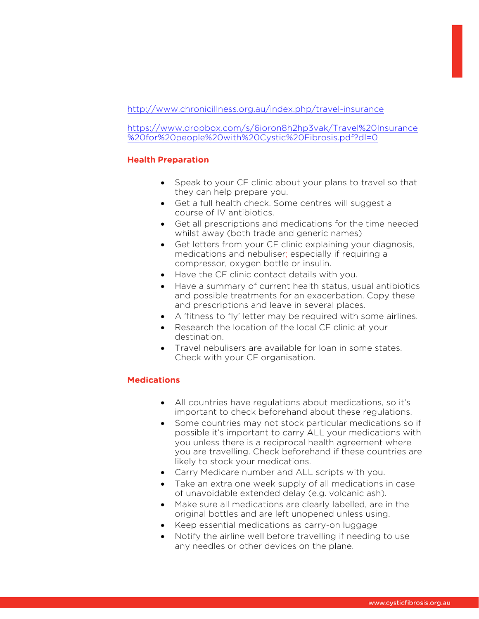http://www.chronicillness.org.au/index.php/travel-insurance

https://www.dropbox.com/s/6ioron8h2hp3vak/Travel%20Insurance %20for%20people%20with%20Cystic%20Fibrosis.pdf?dl=0

# Health Preparation

- Speak to your CF clinic about your plans to travel so that they can help prepare you.
- Get a full health check. Some centres will suggest a course of IV antibiotics.
- Get all prescriptions and medications for the time needed whilst away (both trade and generic names)
- Get letters from your CF clinic explaining your diagnosis, medications and nebuliser; especially if requiring a compressor, oxygen bottle or insulin.
- Have the CF clinic contact details with you.
- Have a summary of current health status, usual antibiotics and possible treatments for an exacerbation. Copy these and prescriptions and leave in several places.
- A 'fitness to fly' letter may be required with some airlines.
- Research the location of the local CF clinic at your destination.
- Travel nebulisers are available for loan in some states. Check with your CF organisation.

# **Medications**

- All countries have regulations about medications, so it's important to check beforehand about these regulations.
- Some countries may not stock particular medications so if possible it's important to carry ALL your medications with you unless there is a reciprocal health agreement where you are travelling. Check beforehand if these countries are likely to stock your medications.
- Carry Medicare number and ALL scripts with you.
- Take an extra one week supply of all medications in case of unavoidable extended delay (e.g. volcanic ash).
- Make sure all medications are clearly labelled, are in the original bottles and are left unopened unless using.
- Keep essential medications as carry-on luggage
- Notify the airline well before travelling if needing to use any needles or other devices on the plane.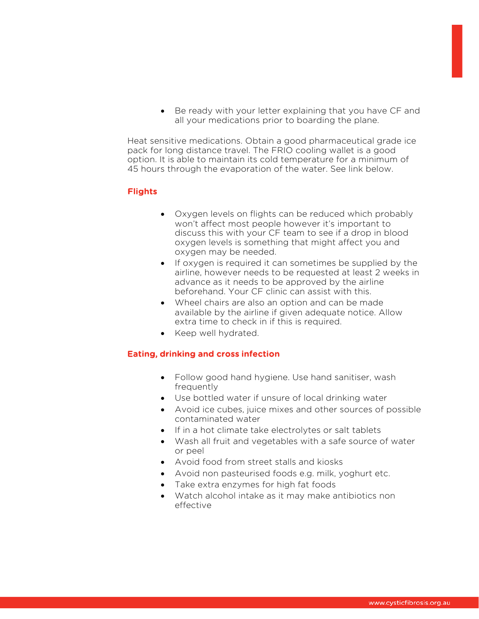• Be ready with your letter explaining that you have CF and all your medications prior to boarding the plane.

Heat sensitive medications. Obtain a good pharmaceutical grade ice pack for long distance travel. The FRIO cooling wallet is a good option. It is able to maintain its cold temperature for a minimum of 45 hours through the evaporation of the water. See link below.

# **Flights**

- Oxygen levels on flights can be reduced which probably won't affect most people however it's important to discuss this with your CF team to see if a drop in blood oxygen levels is something that might affect you and oxygen may be needed.
- If oxygen is required it can sometimes be supplied by the airline, however needs to be requested at least 2 weeks in advance as it needs to be approved by the airline beforehand. Your CF clinic can assist with this.
- Wheel chairs are also an option and can be made available by the airline if given adequate notice. Allow extra time to check in if this is required.
- Keep well hydrated.

# Eating, drinking and cross infection

- Follow good hand hygiene. Use hand sanitiser, wash frequently
- Use bottled water if unsure of local drinking water
- Avoid ice cubes, juice mixes and other sources of possible contaminated water
- If in a hot climate take electrolytes or salt tablets
- Wash all fruit and vegetables with a safe source of water or peel
- Avoid food from street stalls and kiosks
- Avoid non pasteurised foods e.g. milk, yoghurt etc.
- Take extra enzymes for high fat foods
- Watch alcohol intake as it may make antibiotics non effective